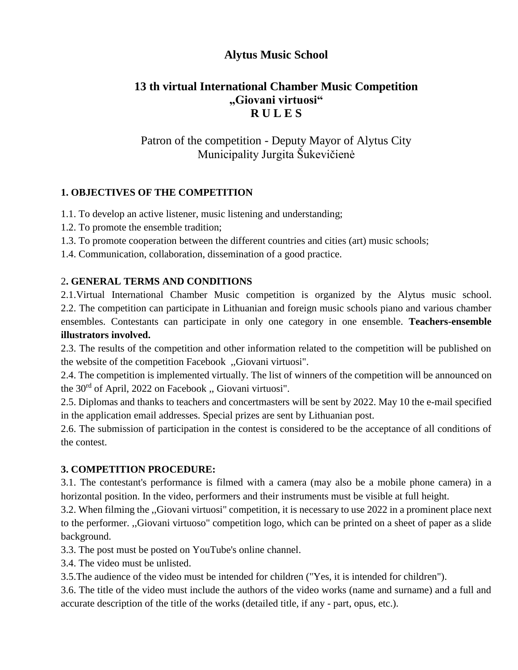# **Alytus Music School**

# **13 th virtual International Chamber Music Competition "Giovani virtuosi" R U L E S**

# Patron of the competition - Deputy Mayor of Alytus City Municipality Jurgita Šukevičienė

#### **1. OBJECTIVES OF THE COMPETITION**

1.1. To develop an active listener, music listening and understanding;

- 1.2. To promote the ensemble tradition;
- 1.3. To promote cooperation between the different countries and cities (art) music schools;

1.4. Communication, collaboration, dissemination of a good practice.

#### 2**. GENERAL TERMS AND CONDITIONS**

2.1.Virtual International Chamber Music competition is organized by the Alytus music school. 2.2. The competition can participate in Lithuanian and foreign music schools piano and various chamber ensembles. Contestants can participate in only one category in one ensemble. **Teachers-ensemble illustrators involved.** 

2.3. The results of the competition and other information related to the competition will be published on the website of the competition Facebook ,,Giovani virtuosi".

2.4. The competition is implemented virtually. The list of winners of the competition will be announced on the 30rd of April, 2022 on Facebook ,, Giovani virtuosi".

2.5. Diplomas and thanks to teachers and concertmasters will be sent by 2022. May 10 the e-mail specified in the application email addresses. Special prizes are sent by Lithuanian post.

2.6. The submission of participation in the contest is considered to be the acceptance of all conditions of the contest.

#### **3. COMPETITION PROCEDURE:**

3.1. The contestant's performance is filmed with a camera (may also be a mobile phone camera) in a horizontal position. In the video, performers and their instruments must be visible at full height.

3.2. When filming the ,,Giovani virtuosi" competition, it is necessary to use 2022 in a prominent place next to the performer. ,,Giovani virtuoso" competition logo, which can be printed on a sheet of paper as a slide background.

3.3. The post must be posted on YouTube's online channel.

3.4. The video must be unlisted.

3.5.The audience of the video must be intended for children ("Yes, it is intended for children").

3.6. The title of the video must include the authors of the video works (name and surname) and a full and accurate description of the title of the works (detailed title, if any - part, opus, etc.).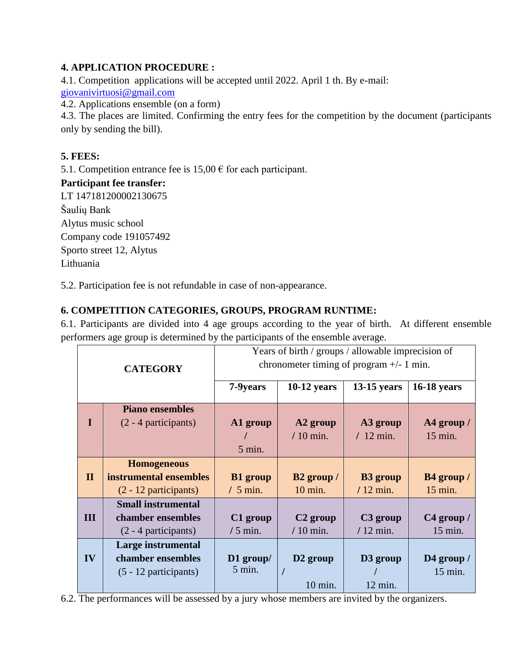### **4. APPLICATION PROCEDURE :**

4.1. Competition applications will be accepted until 2022. April 1 th. By e-mail: [giovanivirtuosi@gmail.com](mailto:amm@muzika.alytus.lm.lt)

4.2. Applications ensemble (on a form)

4.3. The places are limited. Confirming the entry fees for the competition by the document (participants only by sending the bill).

#### **5. FEES:**

5.1. Competition entrance fee is  $15,00 \in \text{for each participant.}$ 

#### **Participant fee transfer:**

LT 147181200002130675 Šaulių Bank Alytus music school Company code 191057492 Sporto street 12, Alytus Lithuania

5.2. Participation fee is not refundable in case of non-appearance.

#### **6. COMPETITION CATEGORIES, GROUPS, PROGRAM RUNTIME:**

6.1. Participants are divided into 4 age groups according to the year of birth. At different ensemble performers age group is determined by the participants of the ensemble average.

|                 |                           | Years of birth / groups / allowable imprecision of |                        |                      |                    |
|-----------------|---------------------------|----------------------------------------------------|------------------------|----------------------|--------------------|
| <b>CATEGORY</b> |                           | chronometer timing of program $+/- 1$ min.         |                        |                      |                    |
|                 |                           | 7-9years                                           | $10-12$ years          | $13-15$ years        | <b>16-18 years</b> |
|                 |                           |                                                    |                        |                      |                    |
|                 | <b>Piano ensembles</b>    |                                                    |                        |                      |                    |
| I               | $(2 - 4$ participants)    | A1 group                                           | A <sub>2</sub> group   | A3 group             | A4 group /         |
|                 |                           |                                                    | $/10$ min.             | $/12$ min.           | 15 min.            |
|                 |                           | $5$ min.                                           |                        |                      |                    |
|                 | <b>Homogeneous</b>        |                                                    |                        |                      |                    |
| $\mathbf{I}$    | instrumental ensembles    | <b>B1</b> group                                    | B <sub>2</sub> group / | <b>B3</b> group      | B4 group /         |
|                 | $(2 - 12$ participants)   | $/5$ min.                                          | 10 min.                | $/12$ min.           | $15$ min.          |
|                 | <b>Small instrumental</b> |                                                    |                        |                      |                    |
| Ш               | chamber ensembles         | C1 group                                           | C <sub>2</sub> group   | C <sub>3</sub> group | $C4$ group /       |
|                 | $(2 - 4$ participants)    | $/5$ min.                                          | $/10$ min.             | $/12$ min.           | 15 min.            |
|                 | Large instrumental        |                                                    |                        |                      |                    |
| IV              | chamber ensembles         | $D1$ group/                                        | D <sub>2</sub> group   | D <sub>3</sub> group | D4 group /         |
|                 | $(5 - 12$ participants)   | $5$ min.                                           |                        |                      | 15 min.            |
|                 |                           |                                                    | 10 min.                | $12 \text{ min.}$    |                    |

6.2. The performances will be assessed by a jury whose members are invited by the organizers.